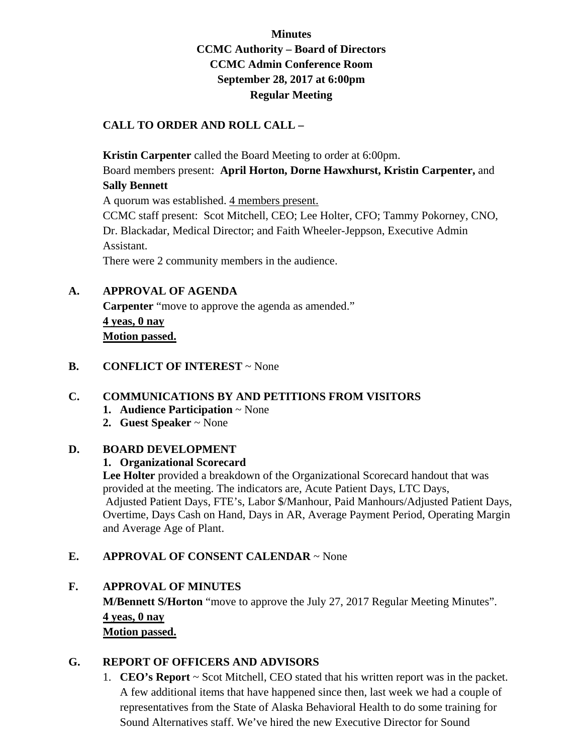# **Minutes CCMC Authority – Board of Directors CCMC Admin Conference Room September 28, 2017 at 6:00pm Regular Meeting**

### **CALL TO ORDER AND ROLL CALL –**

**Kristin Carpenter** called the Board Meeting to order at 6:00pm.

Board members present: **April Horton, Dorne Hawxhurst, Kristin Carpenter,** and **Sally Bennett** 

A quorum was established. 4 members present.

CCMC staff present: Scot Mitchell, CEO; Lee Holter, CFO; Tammy Pokorney, CNO, Dr. Blackadar, Medical Director; and Faith Wheeler-Jeppson, Executive Admin Assistant.

There were 2 community members in the audience.

# **A. APPROVAL OF AGENDA**

**Carpenter** "move to approve the agenda as amended." **4 yeas, 0 nay Motion passed.** 

### **B. CONFLICT OF INTEREST** ~ None

## **C. COMMUNICATIONS BY AND PETITIONS FROM VISITORS**

- **1. Audience Participation** ~ None
- **2. Guest Speaker** ~ None

### **D. BOARD DEVELOPMENT**

### **1. Organizational Scorecard**

Lee Holter provided a breakdown of the Organizational Scorecard handout that was provided at the meeting. The indicators are, Acute Patient Days, LTC Days, Adjusted Patient Days, FTE's, Labor \$/Manhour, Paid Manhours/Adjusted Patient Days, Overtime, Days Cash on Hand, Days in AR, Average Payment Period, Operating Margin and Average Age of Plant.

## **E. APPROVAL OF CONSENT CALENDAR** ~ None

## **F. APPROVAL OF MINUTES**

**M/Bennett S/Horton** "move to approve the July 27, 2017 Regular Meeting Minutes". **4 yeas, 0 nay Motion passed.** 

## **G. REPORT OF OFFICERS AND ADVISORS**

1. **CEO's Report** ~ Scot Mitchell, CEO stated that his written report was in the packet. A few additional items that have happened since then, last week we had a couple of representatives from the State of Alaska Behavioral Health to do some training for Sound Alternatives staff. We've hired the new Executive Director for Sound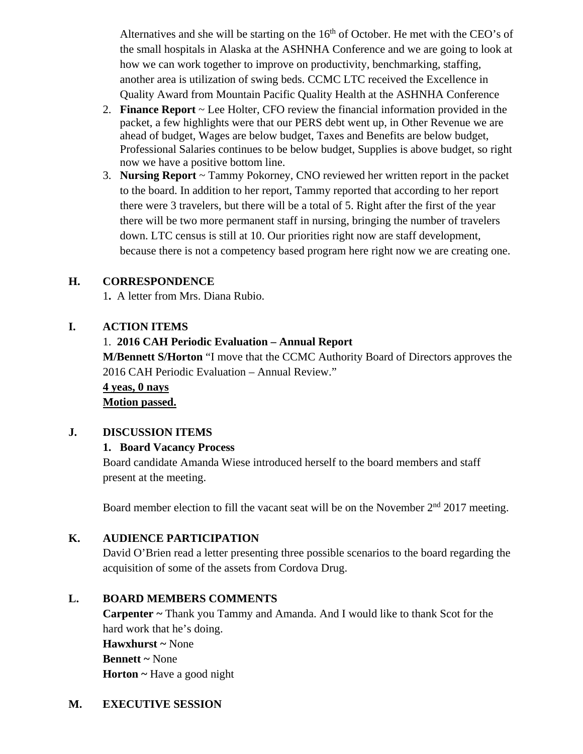Alternatives and she will be starting on the  $16<sup>th</sup>$  of October. He met with the CEO's of the small hospitals in Alaska at the ASHNHA Conference and we are going to look at how we can work together to improve on productivity, benchmarking, staffing, another area is utilization of swing beds. CCMC LTC received the Excellence in Quality Award from Mountain Pacific Quality Health at the ASHNHA Conference

- 2. **Finance Report** ~ Lee Holter, CFO review the financial information provided in the packet, a few highlights were that our PERS debt went up, in Other Revenue we are ahead of budget, Wages are below budget, Taxes and Benefits are below budget, Professional Salaries continues to be below budget, Supplies is above budget, so right now we have a positive bottom line.
- 3. **Nursing Report** ~ Tammy Pokorney, CNO reviewed her written report in the packet to the board. In addition to her report, Tammy reported that according to her report there were 3 travelers, but there will be a total of 5. Right after the first of the year there will be two more permanent staff in nursing, bringing the number of travelers down. LTC census is still at 10. Our priorities right now are staff development, because there is not a competency based program here right now we are creating one.

## **H. CORRESPONDENCE**

1**.** A letter from Mrs. Diana Rubio.

### **I. ACTION ITEMS**

### 1. **2016 CAH Periodic Evaluation – Annual Report**

**M/Bennett S/Horton** "I move that the CCMC Authority Board of Directors approves the 2016 CAH Periodic Evaluation – Annual Review."

**4 yeas, 0 nays Motion passed.** 

### **J. DISCUSSION ITEMS**

### **1. Board Vacancy Process**

Board candidate Amanda Wiese introduced herself to the board members and staff present at the meeting.

Board member election to fill the vacant seat will be on the November 2<sup>nd</sup> 2017 meeting.

### **K. AUDIENCE PARTICIPATION**

David O'Brien read a letter presenting three possible scenarios to the board regarding the acquisition of some of the assets from Cordova Drug.

### **L. BOARD MEMBERS COMMENTS**

**Carpenter ~** Thank you Tammy and Amanda. And I would like to thank Scot for the hard work that he's doing. **Hawxhurst ~** None

**Bennett ~** None **Horton ~** Have a good night

## **M. EXECUTIVE SESSION**